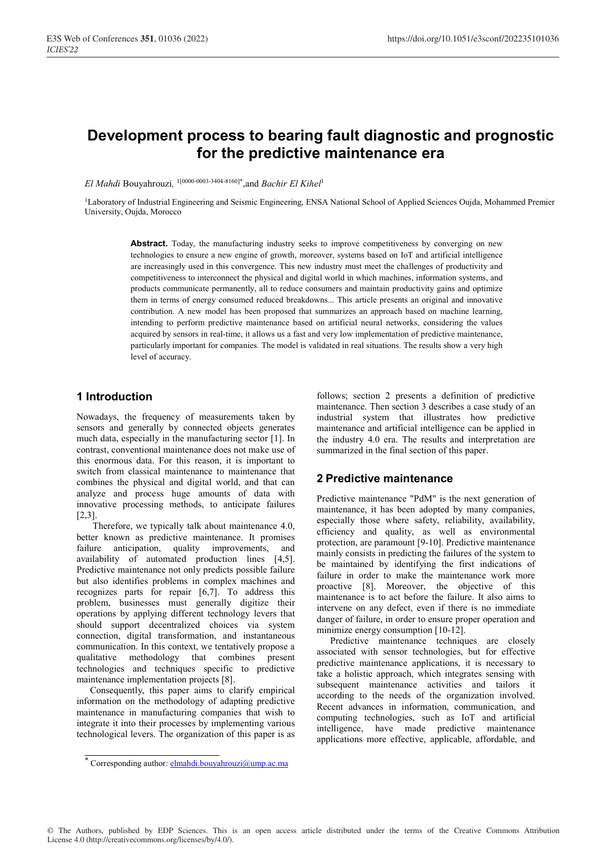# **Development process to bearing fault diagnostic and prognostic for the predictive maintenance era**

*El Mahdi* Bouyahrouzi*,* 1[0000-0003-3404-8160]\*,and *Bachir El Kihel*<sup>1</sup>

<sup>1</sup>Laboratory of Industrial Engineering and Seismic Engineering, ENSA National School of Applied Sciences Oujda, Mohammed Premier University, Oujda, Morocco

Abstract. Today, the manufacturing industry seeks to improve competitiveness by converging on new technologies to ensure a new engine of growth, moreover, systems based on IoT and artificial intelligence are increasingly used in this convergence. This new industry must meet the challenges of productivity and competitiveness to interconnect the physical and digital world in which machines, information systems, and products communicate permanently, all to reduce consumers and maintain productivity gains and optimize them in terms of energy consumed reduced breakdowns... This article presents an original and innovative contribution. A new model has been proposed that summarizes an approach based on machine learning, intending to perform predictive maintenance based on artificial neural networks, considering the values acquired by sensors in real-time, it allows us a fast and very low implementation of predictive maintenance, particularly important for companies. The model is validated in real situations. The results show a very high level of accuracy.

## **1 Introduction**

Nowadays, the frequency of measurements taken by sensors and generally by connected objects generates much data, especially in the manufacturing sector [1]. In contrast, conventional maintenance does not make use of this enormous data. For this reason, it is important to switch from classical maintenance to maintenance that combines the physical and digital world, and that can analyze and process huge amounts of data with innovative processing methods, to anticipate failures [2,3].

 Therefore, we typically talk about maintenance 4.0, better known as predictive maintenance. It promises failure anticipation, quality improvements, and availability of automated production lines [4,5]. Predictive maintenance not only predicts possible failure but also identifies problems in complex machines and recognizes parts for repair [6,7]. To address this problem, businesses must generally digitize their operations by applying different technology levers that should support decentralized choices via system connection, digital transformation, and instantaneous communication. In this context, we tentatively propose a qualitative methodology that combines present technologies and techniques specific to predictive maintenance implementation projects [8].

Consequently, this paper aims to clarify empirical information on the methodology of adapting predictive maintenance in manufacturing companies that wish to integrate it into their processes by implementing various technological levers. The organization of this paper is as

follows; section 2 presents a definition of predictive maintenance. Then section 3 describes a case study of an industrial system that illustrates how predictive maintenance and artificial intelligence can be applied in the industry 4.0 era. The results and interpretation are summarized in the final section of this paper.

## **2 Predictive maintenance**

Predictive maintenance "PdM" is the next generation of maintenance, it has been adopted by many companies, especially those where safety, reliability, availability, efficiency and quality, as well as environmental protection, are paramount [9-10]. Predictive maintenance mainly consists in predicting the failures of the system to be maintained by identifying the first indications of failure in order to make the maintenance work more proactive [8]. Moreover, the objective of this maintenance is to act before the failure. It also aims to intervene on any defect, even if there is no immediate danger of failure, in order to ensure proper operation and minimize energy consumption [10-12].

Predictive maintenance techniques are closely associated with sensor technologies, but for effective predictive maintenance applications, it is necessary to take a holistic approach, which integrates sensing with subsequent maintenance activities and tailors it according to the needs of the organization involved. Recent advances in information, communication, and computing technologies, such as IoT and artificial intelligence, have made predictive maintenance applications more effective, applicable, affordable, and

© The Authors, published by EDP Sciences. This is an open access article distributed under the terms of the Creative Commons Attribution License 4.0 (http://creativecommons.org/licenses/by/4.0/).

<sup>\*</sup> Corresponding author: **elmahdi.bouyahrouzi@ump.ac.ma**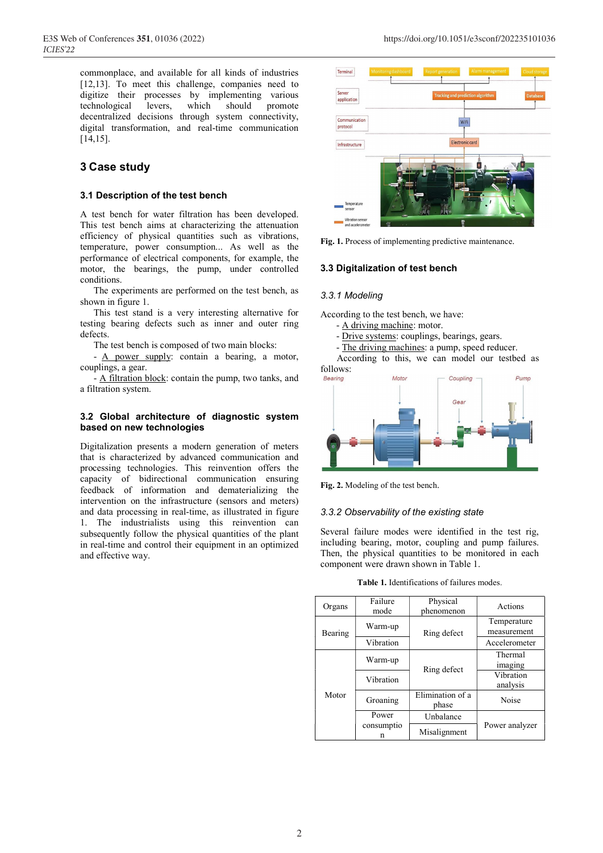commonplace, and available for all kinds of industries [12,13]. To meet this challenge, companies need to digitize their processes by implementing various technological levers, which should promote decentralized decisions through system connectivity, digital transformation, and real-time communication [14,15].

# **3 Case study**

#### **3.1 Description of the test bench**

A test bench for water filtration has been developed. This test bench aims at characterizing the attenuation efficiency of physical quantities such as vibrations, temperature, power consumption... As well as the performance of electrical components, for example, the motor, the bearings, the pump, under controlled conditions.

The experiments are performed on the test bench, as shown in figure 1.

This test stand is a very interesting alternative for testing bearing defects such as inner and outer ring defects.

The test bench is composed of two main blocks:

- <u>A power supply</u>: contain a bearing, a motor, couplings, a gear.

- A filtration block: contain the pump, two tanks, and a filtration system.

#### **3.2 Global architecture of diagnostic system based on new technologies**

Digitalization presents a modern generation of meters that is characterized by advanced communication and processing technologies. This reinvention offers the capacity of bidirectional communication ensuring feedback of information and dematerializing the intervention on the infrastructure (sensors and meters) and data processing in real-time, as illustrated in figure 1. The industrialists using this reinvention can subsequently follow the physical quantities of the plant in real-time and control their equipment in an optimized and effective way.



**Fig. 1.** Process of implementing predictive maintenance.

#### **3.3 Digitalization of test bench**

#### *3.3.1 Modeling*

According to the test bench, we have:

- A driving machine: motor.
- Drive systems: couplings, bearings, gears.
- The driving machines: a pump, speed reducer.

According to this, we can model our testbed as



**Fig. 2.** Modeling of the test bench.

#### *3.3.2 Observability of the existing state*

Several failure modes were identified in the test rig, including bearing, motor, coupling and pump failures. Then, the physical quantities to be monitored in each component were drawn shown in Table 1.

**Table 1.** Identifications of failures modes.

| Organs  | Failure<br>mode | Physical<br>phenomenon    | Actions                    |  |
|---------|-----------------|---------------------------|----------------------------|--|
| Bearing | Warm-up         | Ring defect               | Temperature<br>measurement |  |
|         | Vibration       |                           | Accelerometer              |  |
| Motor   | Warm-up         | Ring defect               | Thermal<br>imaging         |  |
|         | Vibration       |                           | Vibration<br>analysis      |  |
|         | Groaning        | Elimination of a<br>phase | Noise                      |  |
|         | Power           | Unbalance                 | Power analyzer             |  |
|         | consumptio<br>n | Misalignment              |                            |  |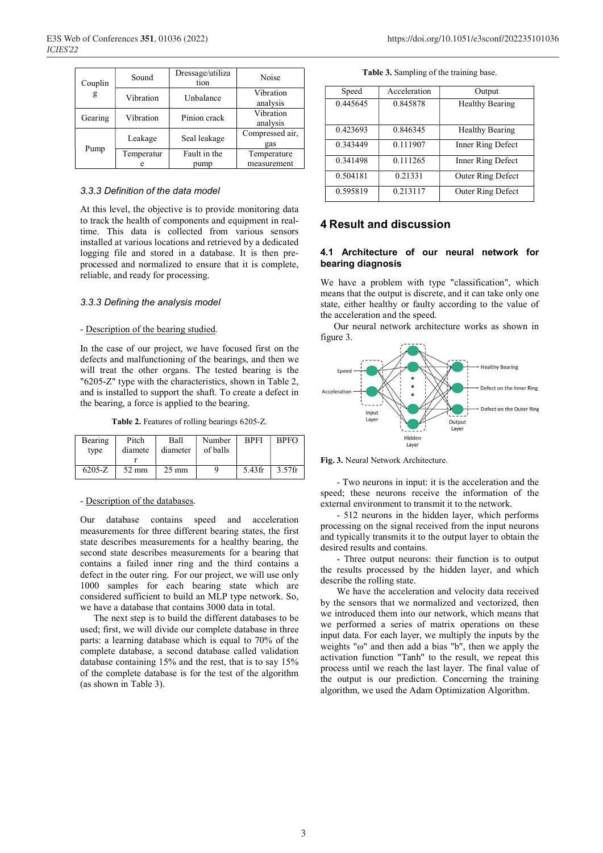| Couplin | Sound      | Dressage/utiliza<br>tion | Noise                  |
|---------|------------|--------------------------|------------------------|
| g       | Vibration  | Unbalance                | Vibration<br>analysis  |
| Gearing | Vibration  | Pinion crack             | Vibration<br>analysis  |
| Pump    | Leakage    | Seal leakage             | Compressed air,<br>gas |
|         | Temperatur | Fault in the             | Temperature            |
|         |            | pump                     | measurement            |

#### *3.3.3 Definition of the data model*

At this level, the objective is to provide monitoring data to track the health of components and equipment in realtime. This data is collected from various sensors installed at various locations and retrieved by a dedicated logging file and stored in a database. It is then preprocessed and normalized to ensure that it is complete, reliable, and ready for processing.

#### *3.3.3 Defining the analysis model*

#### - Description of the bearing studied.

In the case of our project, we have focused first on the defects and malfunctioning of the bearings, and then we will treat the other organs. The tested bearing is the "6205-Z" type with the characteristics, shown in Table 2, and is installed to support the shaft. To create a defect in the bearing, a force is applied to the bearing.

**Table 2.** Features of rolling bearings 6205-Z.

| Bearing<br>type | Pitch<br>diamete | Ball<br>diameter | Number<br>of balls | <b>BPFI</b> | <b>BPFO</b> |
|-----------------|------------------|------------------|--------------------|-------------|-------------|
|                 |                  |                  |                    |             |             |
| $6205-Z$        | $52 \text{ mm}$  | $25 \text{ mm}$  |                    | $5.43$ fr   | $3.57$ fr   |

#### - Description of the databases.

Our database contains speed and acceleration measurements for three different bearing states, the first state describes measurements for a healthy bearing, the second state describes measurements for a bearing that contains a failed inner ring and the third contains a defect in the outer ring. For our project, we will use only 1000 samples for each bearing state which are considered sufficient to build an MLP type network. So, we have a database that contains 3000 data in total.

The next step is to build the different databases to be used; first, we will divide our complete database in three parts: a learning database which is equal to 70% of the complete database, a second database called validation database containing 15% and the rest, that is to say 15% of the complete database is for the test of the algorithm (as shown in Table 3).

|  | <b>Table 3.</b> Sampling of the training base. |  |  |  |
|--|------------------------------------------------|--|--|--|
|--|------------------------------------------------|--|--|--|

| Speed    | Acceleration | Output                   |
|----------|--------------|--------------------------|
| 0.445645 | 0.845878     | Healthy Bearing          |
| 0.423693 | 0.846345     | <b>Healthy Bearing</b>   |
| 0.343449 | 0.111907     | Inner Ring Defect        |
| 0.341498 | 0.111265     | Inner Ring Defect        |
| 0.504181 | 0.21331      | <b>Outer Ring Defect</b> |
| 0.595819 | 0.213117     | Outer Ring Defect        |

## **4 Result and discussion**

#### **4.1 Architecture of our neural network for bearing diagnosis**

We have a problem with type "classification", which means that the output is discrete, and it can take only one state, either healthy or faulty according to the value of the acceleration and the speed.

Our neural network architecture works as shown in figure 3.



**Fig. 3.** Neural Network Architecture.

 - Two neurons in input: it is the acceleration and the speed; these neurons receive the information of the external environment to transmit it to the network.

 - 512 neurons in the hidden layer, which performs processing on the signal received from the input neurons and typically transmits it to the output layer to obtain the desired results and contains.

 - Three output neurons: their function is to output the results processed by the hidden layer, and which describe the rolling state.

 We have the acceleration and velocity data received by the sensors that we normalized and vectorized, then we introduced them into our network, which means that we performed a series of matrix operations on these input data. For each layer, we multiply the inputs by the weights "ω" and then add a bias "b", then we apply the activation function "Tanh" to the result, we repeat this process until we reach the last layer. The final value of the output is our prediction. Concerning the training algorithm, we used the Adam Optimization Algorithm.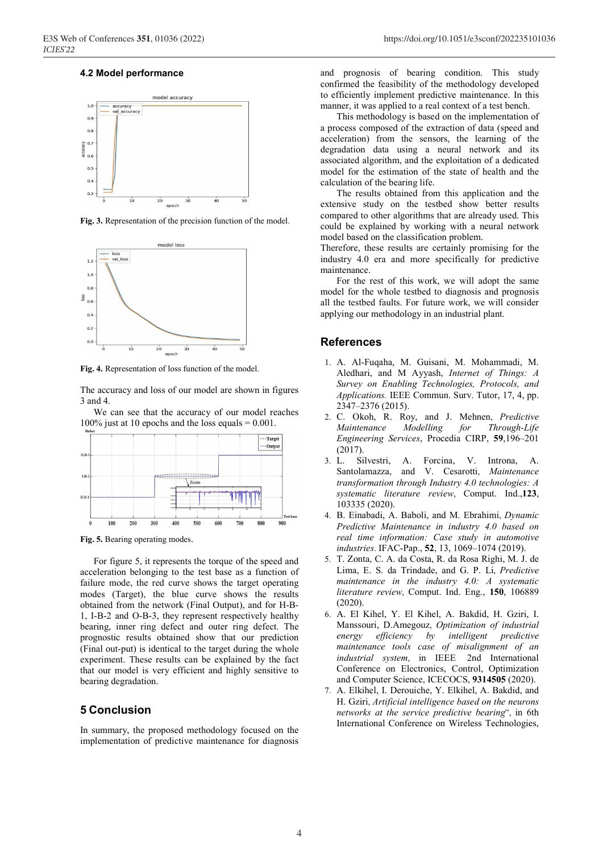#### **4.2 Model performance**



**Fig. 3.** Representation of the precision function of the model.



**Fig. 4.** Representation of loss function of the model.

The accuracy and loss of our model are shown in figures 3 and 4.

We can see that the accuracy of our model reaches 100% just at 10 epochs and the loss equals  $= 0.001$ .



**Fig. 5.** Bearing operating modes.

For figure 5, it represents the torque of the speed and acceleration belonging to the test base as a function of failure mode, the red curve shows the target operating modes (Target), the blue curve shows the results obtained from the network (Final Output), and for H-B-1, I-B-2 and O-B-3, they represent respectively healthy bearing, inner ring defect and outer ring defect. The prognostic results obtained show that our prediction (Final out-put) is identical to the target during the whole experiment. These results can be explained by the fact that our model is very efficient and highly sensitive to bearing degradation.

## **5 Conclusion**

In summary, the proposed methodology focused on the implementation of predictive maintenance for diagnosis and prognosis of bearing condition. This study confirmed the feasibility of the methodology developed to efficiently implement predictive maintenance. In this manner, it was applied to a real context of a test bench.

 This methodology is based on the implementation of a process composed of the extraction of data (speed and acceleration) from the sensors, the learning of the degradation data using a neural network and its associated algorithm, and the exploitation of a dedicated model for the estimation of the state of health and the calculation of the bearing life.

 The results obtained from this application and the extensive study on the testbed show better results compared to other algorithms that are already used. This could be explained by working with a neural network model based on the classification problem.

Therefore, these results are certainly promising for the industry 4.0 era and more specifically for predictive maintenance.

 For the rest of this work, we will adopt the same model for the whole testbed to diagnosis and prognosis all the testbed faults. For future work, we will consider applying our methodology in an industrial plant.

#### **References**

- 1. A. Al-Fuqaha, M. Guisani, M. Mohammadi, M. Aledhari, and M Ayyash, *Internet of Things: A Survey on Enabling Technologies, Protocols, and Applications.* IEEE Commun. Surv. Tutor, 17, 4, pp. 2347–2376 (2015).
- 2. C. Okoh, R. Roy, and J. Mehnen, *Predictive Maintenance Modelling for Through-Life Engineering Services*, Procedia CIRP, **59**,196–201 (2017).
- 3. L. Silvestri, A. Forcina, V. Introna, A. Santolamazza, and V. Cesarotti, *Maintenance transformation through Industry 4.0 technologies: A systematic literature review*, Comput. Ind.,**123**, 103335 (2020).
- 4. B. Einabadi, A. Baboli, and M. Ebrahimi, *Dynamic Predictive Maintenance in industry 4.0 based on real time information: Case study in automotive industries*. IFAC-Pap., **52**, 13, 1069–1074 (2019).
- 5. T. Zonta, C. A. da Costa, R. da Rosa Righi, M. J. de Lima, E. S. da Trindade, and G. P. Li, *Predictive maintenance in the industry 4.0: A systematic literature review*, Comput. Ind. Eng., **150**, 106889 (2020).
- 6. A. El Kihel, Y. El Kihel, A. Bakdid, H. Gziri, I. Manssouri, D.Amegouz, *Optimization of industrial energy efficiency by intelligent predictive maintenance tools case of misalignment of an industrial system*, in IEEE 2nd International Conference on Electronics, Control, Optimization and Computer Science, ICECOCS, **9314505** (2020).
- 7. A. Elkihel, I. Derouiche, Y. Elkihel, A. Bakdid, and H. Gziri, *Artificial intelligence based on the neurons networks at the service predictive bearing*", in 6th International Conference on Wireless Technologies,